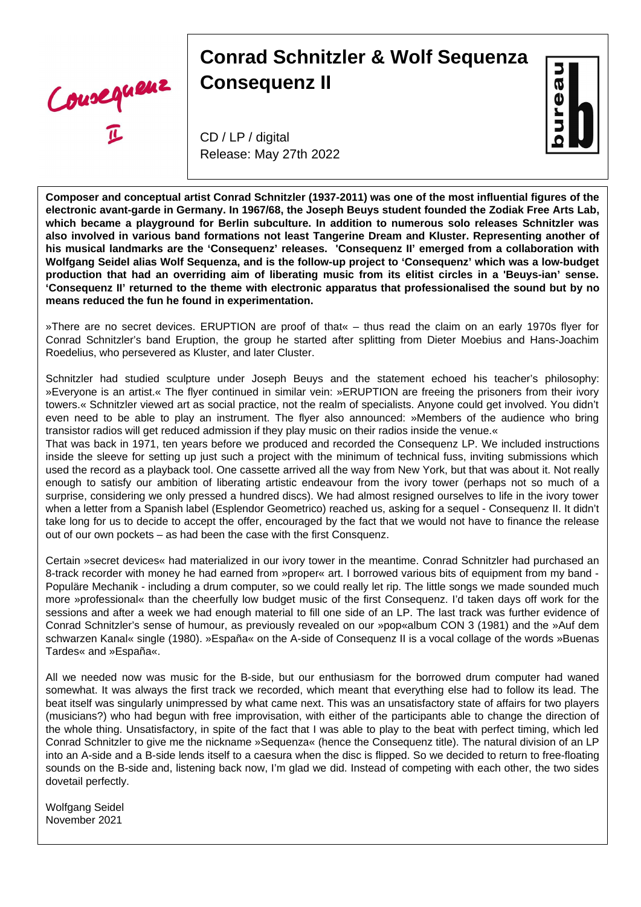Cousequeux

## **Conrad Schnitzler & Wolf Sequenza Consequenz II**

CD / LP / digital Release: May 27th 2022



**Composer and conceptual artist Conrad Schnitzler (1937-2011) was one of the most influential figures of the electronic avant-garde in Germany. In 1967/68, the Joseph Beuys student founded the Zodiak Free Arts Lab, which became a playground for Berlin subculture. In addition to numerous solo releases Schnitzler was also involved in various band formations not least Tangerine Dream and Kluster. Representing another of his musical landmarks are the 'Consequenz' releases. 'Consequenz II' emerged from a collaboration with Wolfgang Seidel alias Wolf Sequenza, and is the follow-up project to 'Consequenz' which was a low-budget production that had an overriding aim of liberating music from its elitist circles in a 'Beuys-ian' sense. 'Consequenz II' returned to the theme with electronic apparatus that professionalised the sound but by no means reduced the fun he found in experimentation.**

»There are no secret devices. ERUPTION are proof of that« – thus read the claim on an early 1970s flyer for Conrad Schnitzler's band Eruption, the group he started after splitting from Dieter Moebius and Hans-Joachim Roedelius, who persevered as Kluster, and later Cluster.

Schnitzler had studied sculpture under Joseph Beuys and the statement echoed his teacher's philosophy: »Everyone is an artist.« The flyer continued in similar vein: »ERUPTION are freeing the prisoners from their ivory towers.« Schnitzler viewed art as social practice, not the realm of specialists. Anyone could get involved. You didn't even need to be able to play an instrument. The flyer also announced: »Members of the audience who bring transistor radios will get reduced admission if they play music on their radios inside the venue.«

That was back in 1971, ten years before we produced and recorded the Consequenz LP. We included instructions inside the sleeve for setting up just such a project with the minimum of technical fuss, inviting submissions which used the record as a playback tool. One cassette arrived all the way from New York, but that was about it. Not really enough to satisfy our ambition of liberating artistic endeavour from the ivory tower (perhaps not so much of a surprise, considering we only pressed a hundred discs). We had almost resigned ourselves to life in the ivory tower when a letter from a Spanish label (Esplendor Geometrico) reached us, asking for a sequel - Consequenz II. It didn't take long for us to decide to accept the offer, encouraged by the fact that we would not have to finance the release out of our own pockets – as had been the case with the first Consquenz.

Certain »secret devices« had materialized in our ivory tower in the meantime. Conrad Schnitzler had purchased an 8-track recorder with money he had earned from »proper« art. I borrowed various bits of equipment from my band -Populäre Mechanik - including a drum computer, so we could really let rip. The little songs we made sounded much more »professional« than the cheerfully low budget music of the first Consequenz. I'd taken days off work for the sessions and after a week we had enough material to fill one side of an LP. The last track was further evidence of Conrad Schnitzler's sense of humour, as previously revealed on our »pop«album CON 3 (1981) and the »Auf dem schwarzen Kanal« single (1980). »España« on the A-side of Consequenz II is a vocal collage of the words »Buenas Tardes« and »España«.

All we needed now was music for the B-side, but our enthusiasm for the borrowed drum computer had waned somewhat. It was always the first track we recorded, which meant that everything else had to follow its lead. The beat itself was singularly unimpressed by what came next. This was an unsatisfactory state of affairs for two players (musicians?) who had begun with free improvisation, with either of the participants able to change the direction of the whole thing. Unsatisfactory, in spite of the fact that I was able to play to the beat with perfect timing, which led Conrad Schnitzler to give me the nickname »Sequenza« (hence the Consequenz title). The natural division of an LP into an A-side and a B-side lends itself to a caesura when the disc is flipped. So we decided to return to free-floating sounds on the B-side and, listening back now, I'm glad we did. Instead of competing with each other, the two sides dovetail perfectly.

Wolfgang Seidel November 2021